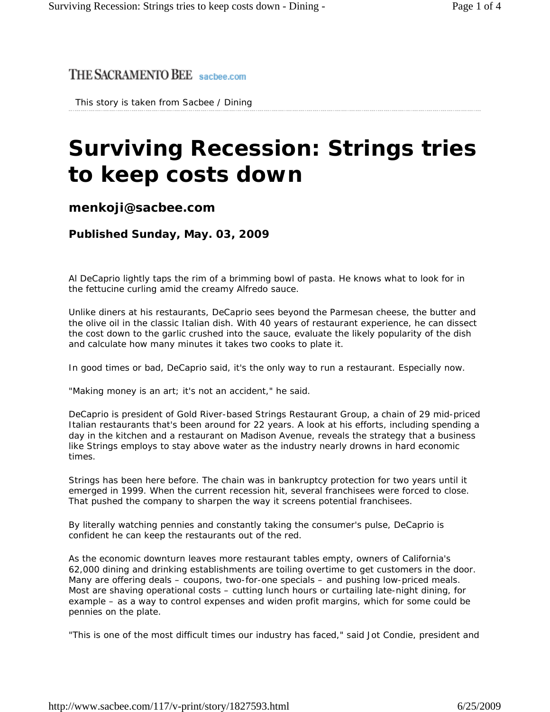## THE SACRAMENTO BEE sacbee.com

This story is taken from Sacbee / Dining

## **Surviving Recession: Strings tries to keep costs down**

## **menkoji@sacbee.com**

**Published Sunday, May. 03, 2009** 

Al DeCaprio lightly taps the rim of a brimming bowl of pasta. He knows what to look for in the fettucine curling amid the creamy Alfredo sauce.

Unlike diners at his restaurants, DeCaprio sees beyond the Parmesan cheese, the butter and the olive oil in the classic Italian dish. With 40 years of restaurant experience, he can dissect the cost down to the garlic crushed into the sauce, evaluate the likely popularity of the dish and calculate how many minutes it takes two cooks to plate it.

In good times or bad, DeCaprio said, it's the only way to run a restaurant. Especially now.

"Making money is an art; it's not an accident," he said.

DeCaprio is president of Gold River-based Strings Restaurant Group, a chain of 29 mid-priced Italian restaurants that's been around for 22 years. A look at his efforts, including spending a day in the kitchen and a restaurant on Madison Avenue, reveals the strategy that a business like Strings employs to stay above water as the industry nearly drowns in hard economic times.

Strings has been here before. The chain was in bankruptcy protection for two years until it emerged in 1999. When the current recession hit, several franchisees were forced to close. That pushed the company to sharpen the way it screens potential franchisees.

By literally watching pennies and constantly taking the consumer's pulse, DeCaprio is confident he can keep the restaurants out of the red.

As the economic downturn leaves more restaurant tables empty, owners of California's 62,000 dining and drinking establishments are toiling overtime to get customers in the door. Many are offering deals – coupons, two-for-one specials – and pushing low-priced meals. Most are shaving operational costs – cutting lunch hours or curtailing late-night dining, for example – as a way to control expenses and widen profit margins, which for some could be pennies on the plate.

"This is one of the most difficult times our industry has faced," said Jot Condie, president and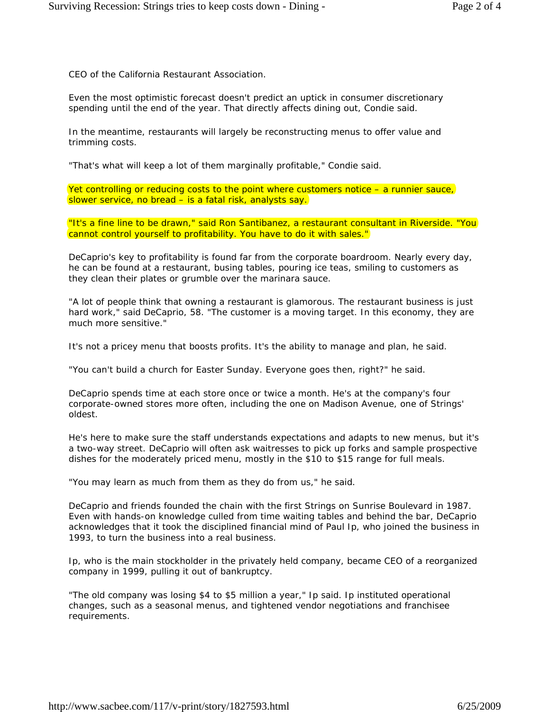CEO of the California Restaurant Association.

Even the most optimistic forecast doesn't predict an uptick in consumer discretionary spending until the end of the year. That directly affects dining out, Condie said.

In the meantime, restaurants will largely be reconstructing menus to offer value and trimming costs.

"That's what will keep a lot of them marginally profitable," Condie said.

Yet controlling or reducing costs to the point where customers notice – a runnier sauce, slower service, no bread – is a fatal risk, analysts say.

"It's a fine line to be drawn," said Ron Santibanez, a restaurant consultant in Riverside. "You cannot control yourself to profitability. You have to do it with sales."

DeCaprio's key to profitability is found far from the corporate boardroom. Nearly every day, he can be found at a restaurant, busing tables, pouring ice teas, smiling to customers as they clean their plates or grumble over the marinara sauce.

"A lot of people think that owning a restaurant is glamorous. The restaurant business is just hard work," said DeCaprio, 58. "The customer is a moving target. In this economy, they are much more sensitive."

It's not a pricey menu that boosts profits. It's the ability to manage and plan, he said.

"You can't build a church for Easter Sunday. Everyone goes then, right?" he said.

DeCaprio spends time at each store once or twice a month. He's at the company's four corporate-owned stores more often, including the one on Madison Avenue, one of Strings' oldest.

He's here to make sure the staff understands expectations and adapts to new menus, but it's a two-way street. DeCaprio will often ask waitresses to pick up forks and sample prospective dishes for the moderately priced menu, mostly in the \$10 to \$15 range for full meals.

"You may learn as much from them as they do from us," he said.

DeCaprio and friends founded the chain with the first Strings on Sunrise Boulevard in 1987. Even with hands-on knowledge culled from time waiting tables and behind the bar, DeCaprio acknowledges that it took the disciplined financial mind of Paul Ip, who joined the business in 1993, to turn the business into a real business.

Ip, who is the main stockholder in the privately held company, became CEO of a reorganized company in 1999, pulling it out of bankruptcy.

"The old company was losing \$4 to \$5 million a year," Ip said. Ip instituted operational changes, such as a seasonal menus, and tightened vendor negotiations and franchisee requirements.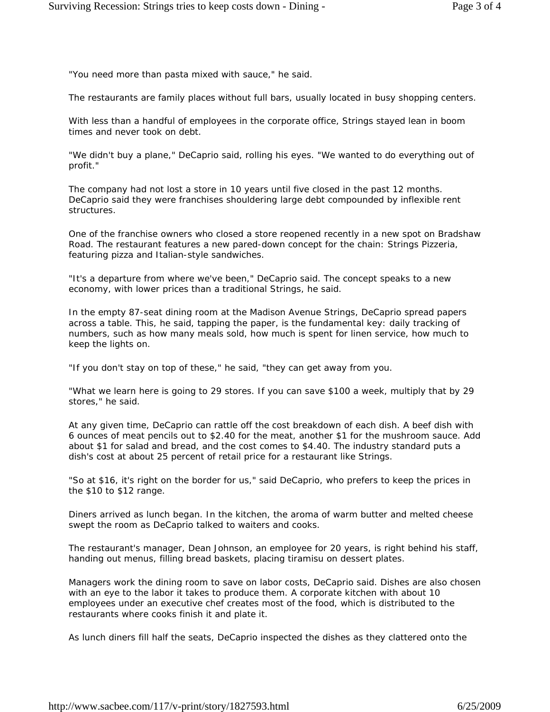"You need more than pasta mixed with sauce," he said.

The restaurants are family places without full bars, usually located in busy shopping centers.

With less than a handful of employees in the corporate office, Strings stayed lean in boom times and never took on debt.

"We didn't buy a plane," DeCaprio said, rolling his eyes. "We wanted to do everything out of profit."

The company had not lost a store in 10 years until five closed in the past 12 months. DeCaprio said they were franchises shouldering large debt compounded by inflexible rent structures.

One of the franchise owners who closed a store reopened recently in a new spot on Bradshaw Road. The restaurant features a new pared-down concept for the chain: Strings Pizzeria, featuring pizza and Italian-style sandwiches.

"It's a departure from where we've been," DeCaprio said. The concept speaks to a new economy, with lower prices than a traditional Strings, he said.

In the empty 87-seat dining room at the Madison Avenue Strings, DeCaprio spread papers across a table. This, he said, tapping the paper, is the fundamental key: daily tracking of numbers, such as how many meals sold, how much is spent for linen service, how much to keep the lights on.

"If you don't stay on top of these," he said, "they can get away from you.

"What we learn here is going to 29 stores. If you can save \$100 a week, multiply that by 29 stores," he said.

At any given time, DeCaprio can rattle off the cost breakdown of each dish. A beef dish with 6 ounces of meat pencils out to \$2.40 for the meat, another \$1 for the mushroom sauce. Add about \$1 for salad and bread, and the cost comes to \$4.40. The industry standard puts a dish's cost at about 25 percent of retail price for a restaurant like Strings.

"So at \$16, it's right on the border for us," said DeCaprio, who prefers to keep the prices in the \$10 to \$12 range.

Diners arrived as lunch began. In the kitchen, the aroma of warm butter and melted cheese swept the room as DeCaprio talked to waiters and cooks.

The restaurant's manager, Dean Johnson, an employee for 20 years, is right behind his staff, handing out menus, filling bread baskets, placing tiramisu on dessert plates.

Managers work the dining room to save on labor costs, DeCaprio said. Dishes are also chosen with an eye to the labor it takes to produce them. A corporate kitchen with about 10 employees under an executive chef creates most of the food, which is distributed to the restaurants where cooks finish it and plate it.

As lunch diners fill half the seats, DeCaprio inspected the dishes as they clattered onto the